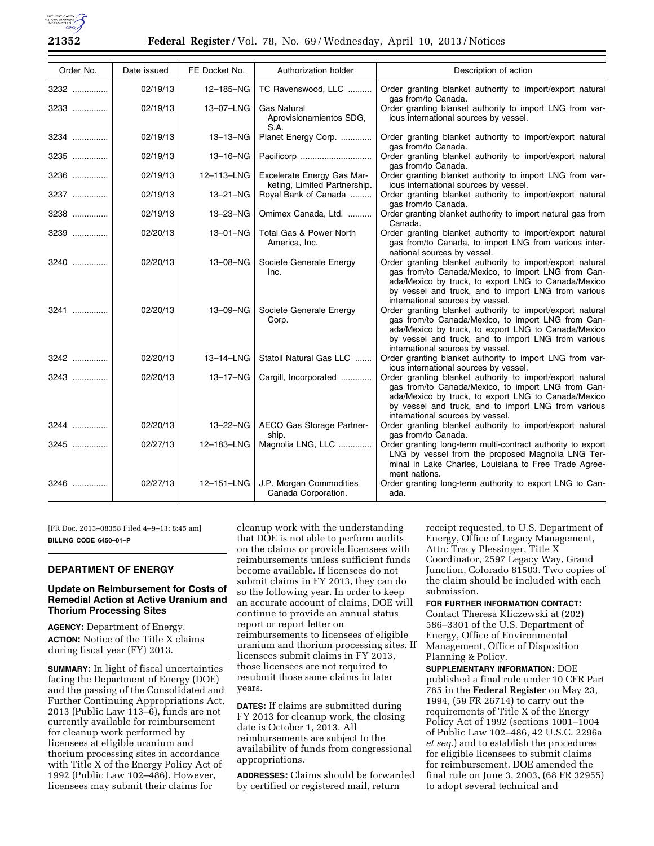

| Order No. | Date issued | FE Docket No. | Authorization holder                                       | Description of action                                                                                                                                                                                                                                             |
|-----------|-------------|---------------|------------------------------------------------------------|-------------------------------------------------------------------------------------------------------------------------------------------------------------------------------------------------------------------------------------------------------------------|
| 3232      | 02/19/13    | 12-185-NG     | TC Ravenswood, LLC                                         | Order granting blanket authority to import/export natural<br>gas from/to Canada.                                                                                                                                                                                  |
| 3233      | 02/19/13    | 13-07-LNG     | <b>Gas Natural</b><br>Aprovisionamientos SDG,<br>S.A.      | Order granting blanket authority to import LNG from var-<br>ious international sources by vessel.                                                                                                                                                                 |
| 3234      | 02/19/13    | 13-13-NG      | Planet Energy Corp.                                        | Order granting blanket authority to import/export natural<br>gas from/to Canada.                                                                                                                                                                                  |
| 3235      | 02/19/13    | 13-16-NG      |                                                            | Order granting blanket authority to import/export natural<br>gas from/to Canada.                                                                                                                                                                                  |
| 3236      | 02/19/13    | 12-113-LNG    | Excelerate Energy Gas Mar-<br>keting, Limited Partnership. | Order granting blanket authority to import LNG from var-<br>ious international sources by vessel.                                                                                                                                                                 |
| 3237      | 02/19/13    | 13-21-NG      | Royal Bank of Canada                                       | Order granting blanket authority to import/export natural<br>gas from/to Canada.                                                                                                                                                                                  |
| 3238      | 02/19/13    | 13-23-NG      | Omimex Canada, Ltd.                                        | Order granting blanket authority to import natural gas from<br>Canada.                                                                                                                                                                                            |
| 3239      | 02/20/13    | 13-01-NG      | Total Gas & Power North<br>America, Inc.                   | Order granting blanket authority to import/export natural<br>gas from/to Canada, to import LNG from various inter-<br>national sources by vessel.                                                                                                                 |
| 3240      | 02/20/13    | 13-08-NG      | Societe Generale Energy<br>Inc.                            | Order granting blanket authority to import/export natural<br>gas from/to Canada/Mexico, to import LNG from Can-<br>ada/Mexico by truck, to export LNG to Canada/Mexico<br>by vessel and truck, and to import LNG from various<br>international sources by vessel. |
| 3241      | 02/20/13    | 13-09-NG      | Societe Generale Energy<br>Corp.                           | Order granting blanket authority to import/export natural<br>gas from/to Canada/Mexico, to import LNG from Can-<br>ada/Mexico by truck, to export LNG to Canada/Mexico<br>by vessel and truck, and to import LNG from various<br>international sources by vessel. |
| 3242      | 02/20/13    | 13-14-LNG     | Statoil Natural Gas LLC                                    | Order granting blanket authority to import LNG from var-<br>ious international sources by vessel.                                                                                                                                                                 |
| 3243      | 02/20/13    | 13-17-NG      | Cargill, Incorporated                                      | Order granting blanket authority to import/export natural<br>gas from/to Canada/Mexico, to import LNG from Can-<br>ada/Mexico by truck, to export LNG to Canada/Mexico<br>by vessel and truck, and to import LNG from various<br>international sources by vessel. |
| 3244      | 02/20/13    | 13-22-NG      | AECO Gas Storage Partner-<br>ship.                         | Order granting blanket authority to import/export natural<br>gas from/to Canada.                                                                                                                                                                                  |
| 3245      | 02/27/13    | 12-183-LNG    | Magnolia LNG, LLC                                          | Order granting long-term multi-contract authority to export<br>LNG by vessel from the proposed Magnolia LNG Ter-<br>minal in Lake Charles, Louisiana to Free Trade Agree-<br>ment nations.                                                                        |
| $3246$    | 02/27/13    | 12-151-LNG    | J.P. Morgan Commodities<br>Canada Corporation.             | Order granting long-term authority to export LNG to Can-<br>ada.                                                                                                                                                                                                  |

[FR Doc. 2013–08358 Filed 4–9–13; 8:45 am] **BILLING CODE 6450–01–P** 

## **DEPARTMENT OF ENERGY**

### **Update on Reimbursement for Costs of Remedial Action at Active Uranium and Thorium Processing Sites**

**AGENCY:** Department of Energy. **ACTION:** Notice of the Title X claims during fiscal year (FY) 2013.

**SUMMARY:** In light of fiscal uncertainties facing the Department of Energy (DOE) and the passing of the Consolidated and Further Continuing Appropriations Act, 2013 (Public Law 113–6), funds are not currently available for reimbursement for cleanup work performed by licensees at eligible uranium and thorium processing sites in accordance with Title X of the Energy Policy Act of 1992 (Public Law 102–486). However, licensees may submit their claims for

cleanup work with the understanding that DOE is not able to perform audits on the claims or provide licensees with reimbursements unless sufficient funds become available. If licensees do not submit claims in FY 2013, they can do so the following year. In order to keep an accurate account of claims, DOE will continue to provide an annual status report or report letter on reimbursements to licensees of eligible uranium and thorium processing sites. If licensees submit claims in FY 2013, those licensees are not required to resubmit those same claims in later years.

**DATES:** If claims are submitted during FY 2013 for cleanup work, the closing date is October 1, 2013. All reimbursements are subject to the availability of funds from congressional appropriations.

**ADDRESSES:** Claims should be forwarded by certified or registered mail, return

receipt requested, to U.S. Department of Energy, Office of Legacy Management, Attn: Tracy Plessinger, Title X Coordinator, 2597 Legacy Way, Grand Junction, Colorado 81503. Two copies of the claim should be included with each submission.

**FOR FURTHER INFORMATION CONTACT:**  Contact Theresa Kliczewski at (202) 586–3301 of the U.S. Department of Energy, Office of Environmental Management, Office of Disposition Planning & Policy.

**SUPPLEMENTARY INFORMATION:** DOE published a final rule under 10 CFR Part 765 in the **Federal Register** on May 23, 1994, (59 FR 26714) to carry out the requirements of Title X of the Energy Policy Act of 1992 (sections 1001–1004 of Public Law 102–486, 42 U.S.C. 2296a *et seq.*) and to establish the procedures for eligible licensees to submit claims for reimbursement. DOE amended the final rule on June 3, 2003, (68 FR 32955) to adopt several technical and